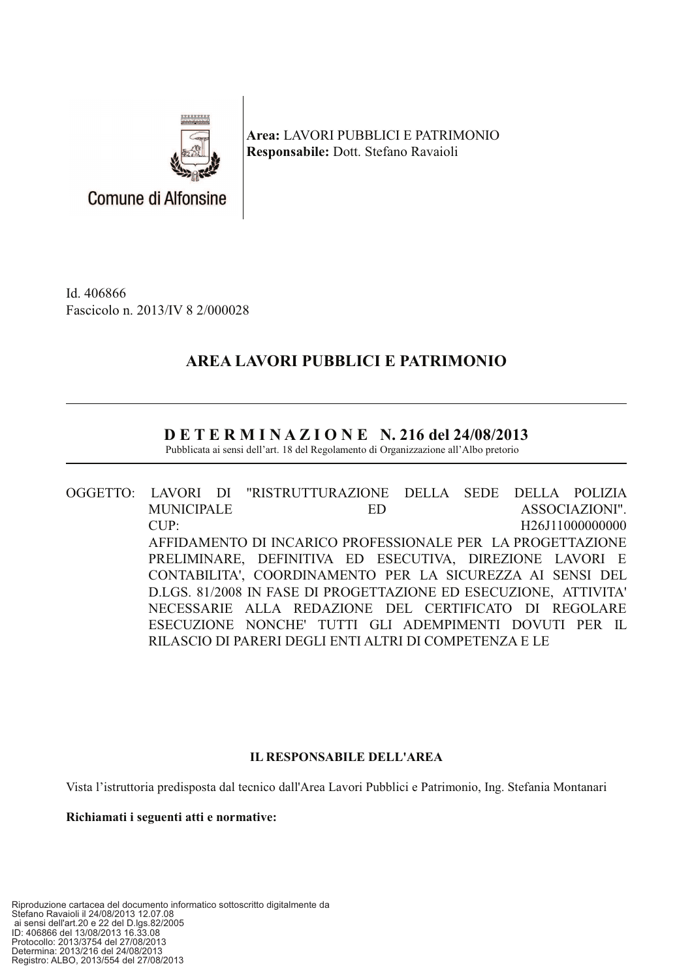

Area: LAVORI PUBBLICI E PATRIMONIO Responsabile: Dott. Stefano Ravaioli

Id. 406866 Fascicolo n. 2013/IV 8 2/000028

# AREA LAVORI PUBBLICI E PATRIMONIO

## $D E T E R M I N A Z I O N E N. 216 del 24/08/2013$

Pubblicata ai sensi dell'art. 18 del Regolamento di Organizzazione all'Albo pretorio

OGGETTO: LAVORI DI "RISTRUTTURAZIONE **DELLA SEDE** DELLA POLIZIA **MUNICIPALE** ED. ASSOCIAZIONI". CUP: H26J11000000000 AFFIDAMENTO DI INCARICO PROFESSIONALE PER LA PROGETTAZIONE PRELIMINARE, DEFINITIVA ED ESECUTIVA, DIREZIONE LAVORI E CONTABILITA', COORDINAMENTO PER LA SICUREZZA AI SENSI DEL D.LGS, 81/2008 IN FASE DI PROGETTAZIONE ED ESECUZIONE, ATTIVITA' NECESSARIE ALLA REDAZIONE DEL CERTIFICATO DI REGOLARE ESECUZIONE NONCHE' TUTTI GLI ADEMPIMENTI DOVUTI PER IL RILASCIO DI PARERI DEGLI ENTI ALTRI DI COMPETENZA E LE

### **IL RESPONSABILE DELL'AREA**

Vista l'istruttoria predisposta dal tecnico dall'Area Lavori Pubblici e Patrimonio, Ing. Stefania Montanari

Richiamati i seguenti atti e normative: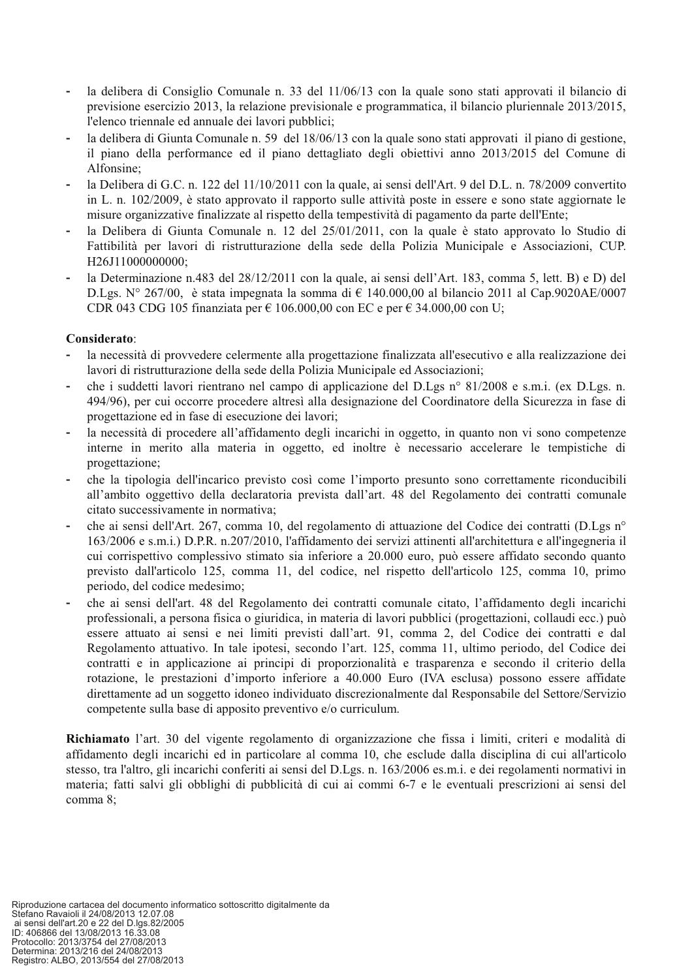- la delibera di Consiglio Comunale n. 33 del 11/06/13 con la quale sono stati approvati il bilancio di previsione esercizio 2013, la relazione previsionale e programmatica, il bilancio pluriennale 2013/2015, l'elenco triennale ed annuale dei lavori pubblici;
- la delibera di Giunta Comunale n. 59 del 18/06/13 con la quale sono stati approvati il piano di gestione, il piano della performance ed il piano dettagliato degli obiettivi anno 2013/2015 del Comune di Alfonsine:
- la Delibera di G.C. n. 122 del 11/10/2011 con la quale, ai sensi dell'Art. 9 del D.L. n. 78/2009 convertito in L, n. 102/2009, è stato approvato il rapporto sulle attività poste in essere e sono state aggiornate le misure organizzative finalizzate al rispetto della tempestività di pagamento da parte dell'Ente:
- la Delibera di Giunta Comunale n. 12 del 25/01/2011, con la quale è stato approvato lo Studio di Fattibilità per lavori di ristrutturazione della sede della Polizia Municipale e Associazioni, CUP. H26J11000000000;
- la Determinazione n.483 del 28/12/2011 con la quale, ai sensi dell'Art. 183, comma 5, lett. B) e D) del D.Lgs. N° 267/00, è stata impegnata la somma di  $\epsilon$  140.000,00 al bilancio 2011 al Cap.9020AE/0007 CDR 043 CDG 105 finanziata per  $\epsilon$  106.000,00 con EC e per  $\epsilon$  34.000,00 con U;

#### Considerato:

- la necessità di provvedere celermente alla progettazione finalizzata all'esecutivo e alla realizzazione dei lavori di ristrutturazione della sede della Polizia Municipale ed Associazioni;
- che i suddetti lavori rientrano nel campo di applicazione del D.Lgs nº 81/2008 e s.m.i. (ex D.Lgs. n. 494/96), per cui occorre procedere altresì alla designazione del Coordinatore della Sicurezza in fase di progettazione ed in fase di esecuzione dei lavori;
- la necessità di procedere all'affidamento degli incarichi in oggetto, in quanto non vi sono competenze interne in merito alla materia in oggetto, ed inoltre è necessario accelerare le tempistiche di progettazione;
- che la tipologia dell'incarico previsto così come l'importo presunto sono correttamente riconducibili all'ambito oggettivo della declaratoria prevista dall'art. 48 del Regolamento dei contratti comunale citato successivamente in normativa;
- che ai sensi dell'Art. 267, comma 10, del regolamento di attuazione del Codice dei contratti (D.Lgs n° 163/2006 e s.m.i.) D.P.R. n.207/2010, l'affidamento dei servizi attinenti all'architettura e all'ingegneria il cui corrispettivo complessivo stimato sia inferiore a 20.000 euro, può essere affidato secondo quanto previsto dall'articolo 125, comma 11, del codice, nel rispetto dell'articolo 125, comma 10, primo periodo, del codice medesimo;
- che ai sensi dell'art. 48 del Regolamento dei contratti comunale citato, l'affidamento degli incarichi professionali, a persona física o giuridica, in materia di lavori pubblici (progettazioni, collaudi ecc.) può essere attuato ai sensi e nei limiti previsti dall'art. 91, comma 2, del Codice dei contratti e dal Regolamento attuativo. In tale ipotesi, secondo l'art. 125, comma 11, ultimo periodo, del Codice dei contratti e in applicazione ai principi di proporzionalità e trasparenza e secondo il criterio della rotazione, le prestazioni d'importo inferiore a 40.000 Euro (IVA esclusa) possono essere affidate direttamente ad un soggetto idoneo individuato discrezionalmente dal Responsabile del Settore/Servizio competente sulla base di apposito preventivo e/o curriculum.

Richiamato l'art. 30 del vigente regolamento di organizzazione che fissa i limiti, criteri e modalità di affidamento degli incarichi ed in particolare al comma 10, che esclude dalla disciplina di cui all'articolo stesso, tra l'altro, gli incarichi conferiti ai sensi del D.Lgs. n. 163/2006 es.m.i. e dei regolamenti normativi in materia; fatti salvi gli obblighi di pubblicità di cui ai commi 6-7 e le eventuali prescrizioni ai sensi del comma 8: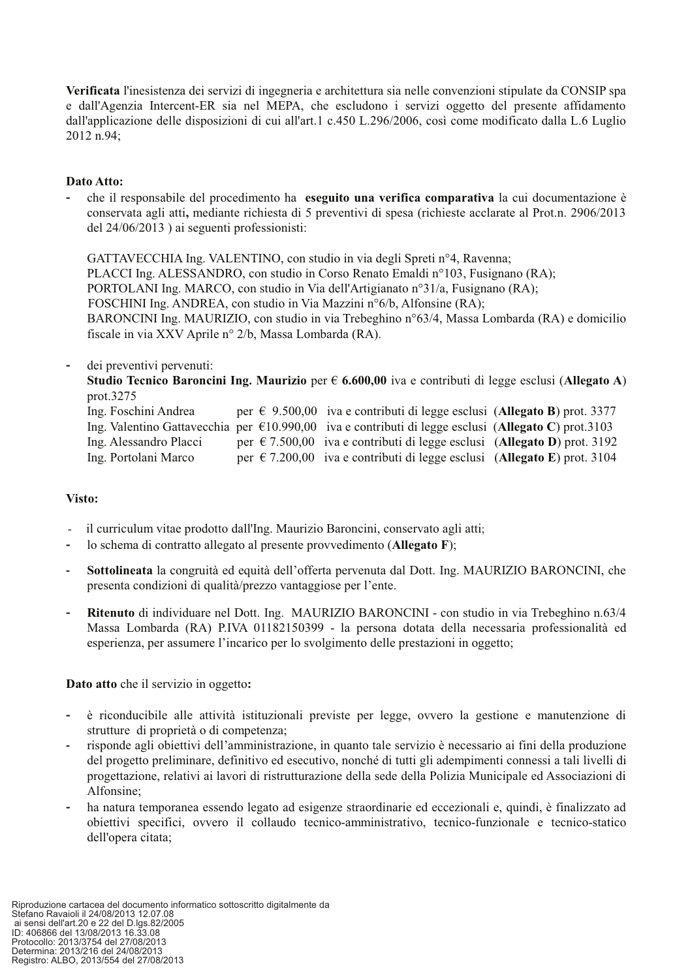Verificata l'inesistenza dei servizi di ingegneria e architettura sia nelle convenzioni stipulate da CONSIP spa e dall'Agenzia Intercent-ER sia nel MEPA, che escludono i servizi oggetto del presente affidamento dall'applicazione delle disposizioni di cui all'art.1 c.450 L.296/2006, così come modificato dalla L.6 Luglio 2012 n.94:

#### Dato Atto:

che il responsabile del procedimento ha eseguito una verifica comparativa la cui documentazione è conservata agli atti, mediante richiesta di 5 preventivi di spesa (richieste acclarate al Prot.n. 2906/2013 del  $24/06/2013$ ) ai seguenti professionisti:

GATTAVECCHIA Ing. VALENTINO, con studio in via degli Spreti nº4, Ravenna; PLACCI Ing. ALESSANDRO, con studio in Corso Renato Emaldi nº103, Fusignano (RA); PORTOLANI Ing. MARCO, con studio in Via dell'Artigianato n°31/a, Fusignano (RA); FOSCHINI Ing. ANDREA, con studio in Via Mazzini n°6/b, Alfonsine (RA); BARONCINI Ing. MAURIZIO, con studio in via Trebeghino n°63/4, Massa Lombarda (RA) e domicilio fiscale in via XXV Aprile nº 2/b, Massa Lombarda (RA).

#### dei preventivi pervenuti:

Studio Tecnico Baroncini Ing. Maurizio per  $\epsilon$  6.600,00 iva e contributi di legge esclusi (Allegato A) prot.3275

| Ing. Foschini Andrea   |  | per $\in$ 9.500,00 iva e contributi di legge esclusi (Allegato B) prot. 3377                                  |  |
|------------------------|--|---------------------------------------------------------------------------------------------------------------|--|
|                        |  | Ing. Valentino Gattavecchia per $\epsilon$ 10.990,00 iva e contributi di legge esclusi (Allegato C) prot.3103 |  |
| Ing. Alessandro Placci |  | per $\epsilon$ 7.500,00 iva e contributi di legge esclusi (Allegato D) prot. 3192                             |  |
| Ing. Portolani Marco   |  | per $\epsilon$ 7.200,00 iva e contributi di legge esclusi (Allegato E) prot. 3104                             |  |

#### Visto:

- il curriculum vitae prodotto dall'Ing. Maurizio Baroncini, conservato agli atti;
- lo schema di contratto allegato al presente provvedimento (Allegato F);
- $\mathbf{r}$ Sottolineata la congruità ed equità dell'offerta pervenuta dal Dott. Ing. MAURIZIO BARONCINI, che presenta condizioni di qualità/prezzo vantaggiose per l'ente.
- Ritenuto di individuare nel Dott. Ing. MAURIZIO BARONCINI con studio in via Trebeghino n.63/4 Massa Lombarda (RA) P.IVA 01182150399 - la persona dotata della necessaria professionalità ed esperienza, per assumere l'incarico per lo svolgimento delle prestazioni in oggetto;

#### Dato atto che il servizio in oggetto:

- è riconducibile alle attività istituzionali previste per legge, ovvero la gestione e manutenzione di strutture di proprietà o di competenza;
- risponde agli obiettivi dell'amministrazione, in quanto tale servizio è necessario ai fini della produzione del progetto preliminare, definitivo ed esecutivo, nonché di tutti gli adempimenti connessi a tali livelli di progettazione, relativi ai lavori di ristrutturazione della sede della Polizia Municipale ed Associazioni di Alfonsine:
- ha natura temporanea essendo legato ad esigenze straordinarie ed eccezionali e, quindi, è finalizzato ad obiettivi specifici, ovvero il collaudo tecnico-amministrativo, tecnico-funzionale e tecnico-statico dell'opera citata;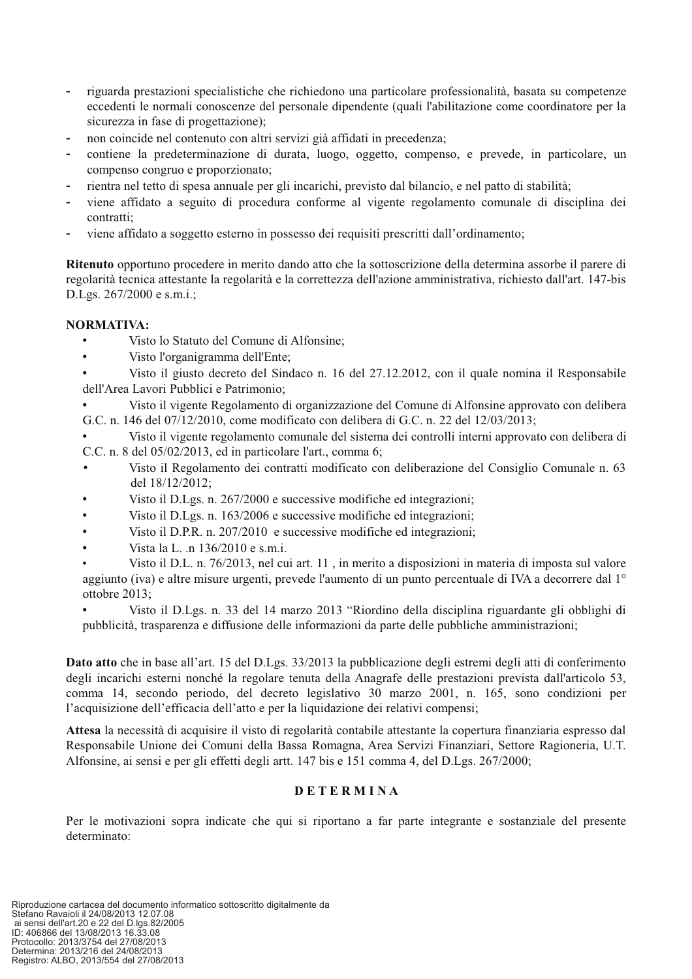- riguarda prestazioni specialistiche che richiedono una particolare professionalità, basata su competenze eccedenti le normali conoscenze del personale dipendente (quali l'abilitazione come coordinatore per la sicurezza in fase di progettazione);
- non coincide nel contenuto con altri servizi già affidati in precedenza;  $\mathbf{r}$
- contiene la predeterminazione di durata, luogo, oggetto, compenso, e prevede, in particolare, un compenso congruo e proporzionato;
- rientra nel tetto di spesa annuale per gli incarichi, previsto dal bilancio, e nel patto di stabilità;
- viene affidato a seguito di procedura conforme al vigente regolamento comunale di disciplina dei contratti:
- viene affidato a soggetto esterno in possesso dei requisiti prescritti dall'ordinamento;

Ritenuto opportuno procedere in merito dando atto che la sottoscrizione della determina assorbe il parere di regolarità tecnica attestante la regolarità e la correttezza dell'azione amministrativa, richiesto dall'art. 147-bis D.Lgs. 267/2000 e s.m.i.;

#### **NORMATIVA:**

- Visto lo Statuto del Comune di Alfonsine;
- Visto l'organigramma dell'Ente;  $\bullet$
- Visto il giusto decreto del Sindaco n. 16 del 27.12.2012, con il quale nomina il Responsabile dell'Area Lavori Pubblici e Patrimonio;
- Visto il vigente Regolamento di organizzazione del Comune di Alfonsine approvato con delibera G.C. n. 146 del 07/12/2010, come modificato con delibera di G.C. n. 22 del 12/03/2013;
- Visto il vigente regolamento comunale del sistema dei controlli interni approvato con delibera di C.C. n. 8 del 05/02/2013, ed in particolare l'art., comma 6;
- Visto il Regolamento dei contratti modificato con deliberazione del Consiglio Comunale n. 63 del 18/12/2012:
- Visto il D.Lgs. n. 267/2000 e successive modifiche ed integrazioni;
- Visto il D.Lgs. n. 163/2006 e successive modifiche ed integrazioni;  $\bullet$
- $\bullet$ Visto il D.P.R. n. 207/2010 e successive modifiche ed integrazioni:
- Vista la L. n 136/2010 e s.m.i.
- Visto il D.L. n. 76/2013, nel cui art. 11, in merito a disposizioni in materia di imposta sul valore aggiunto (iva) e altre misure urgenti, prevede l'aumento di un punto percentuale di IVA a decorrere dal 1<sup>°</sup> ottobre 2013:
- Visto il D.Lgs. n. 33 del 14 marzo 2013 "Riordino della disciplina riguardante gli obblighi di pubblicità, trasparenza e diffusione delle informazioni da parte delle pubbliche amministrazioni;

Dato atto che in base all'art. 15 del D.Lgs. 33/2013 la pubblicazione degli estremi degli atti di conferimento degli incarichi esterni nonché la regolare tenuta della Anagrafe delle prestazioni prevista dall'articolo 53, comma 14, secondo periodo, del decreto legislativo 30 marzo 2001, n. 165, sono condizioni per l'acquisizione dell'efficacia dell'atto e per la liquidazione dei relativi compensi;

Attesa la necessità di acquisire il visto di regolarità contabile attestante la copertura finanziaria espresso dal Responsabile Unione dei Comuni della Bassa Romagna, Area Servizi Finanziari, Settore Ragioneria, U.T. Alfonsine, ai sensi e per gli effetti degli artt. 147 bis e 151 comma 4, del D.Lgs. 267/2000;

#### **DETERMINA**

Per le motivazioni sopra indicate che qui si riportano a far parte integrante e sostanziale del presente determinato<sup>.</sup>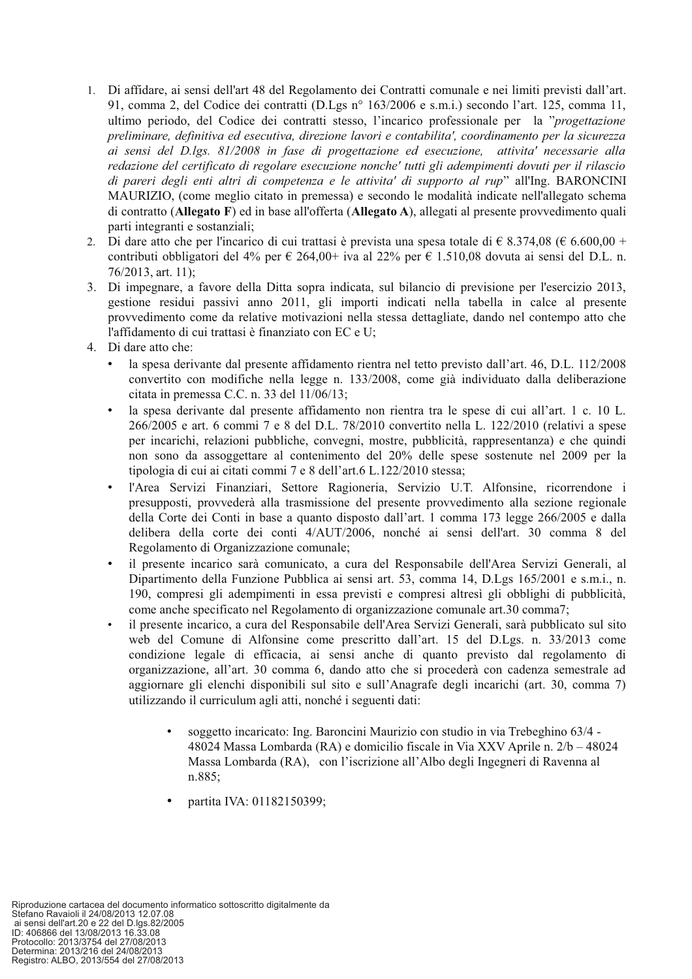- 1. Di affidare, ai sensi dell'art 48 del Regolamento dei Contratti comunale e nei limiti previsti dall'art. 91, comma 2, del Codice dei contratti (D.Lgs nº 163/2006 e s.m.i.) secondo l'art. 125, comma 11, ultimo periodo, del Codice dei contratti stesso, l'incarico professionale per la "progettazione preliminare, definitiva ed esecutiva, direzione lavori e contabilita', coordinamento per la sicurezza ai sensi del D.lgs. 81/2008 in fase di progettazione ed esecuzione, attivita' necessarie alla redazione del certificato di regolare esecuzione nonche' tutti gli adempimenti dovuti per il rilascio di pareri degli enti altri di competenza e le attivita' di supporto al rup" all'Ing. BARONCINI MAURIZIO, (come meglio citato in premessa) e secondo le modalità indicate nell'allegato schema di contratto (Allegato F) ed in base all'offerta (Allegato A), allegati al presente provvedimento quali parti integranti e sostanziali;
- 2. Di dare atto che per l'incarico di cui trattasi è prevista una spesa totale di  $\in$  8.374.08 ( $\in$  6.600.00 + contributi obbligatori del 4% per  $\epsilon$  264,00+ iva al 22% per  $\epsilon$  1.510,08 dovuta ai sensi del D.L. n. 76/2013, art. 11);
- 3. Di impegnare, a favore della Ditta sopra indicata, sul bilancio di previsione per l'esercizio 2013, gestione residui passivi anno 2011, gli importi indicati nella tabella in calce al presente provvedimento come da relative motivazioni nella stessa dettagliate, dando nel contempo atto che l'affidamento di cui trattasi è finanziato con EC e U;
- 4. Di dare atto che:
	- la spesa derivante dal presente affidamento rientra nel tetto previsto dall'art. 46, D.L. 112/2008 convertito con modifiche nella legge n. 133/2008, come già individuato dalla deliberazione citata in premessa C.C. n. 33 del 11/06/13;
	- la spesa derivante dal presente affidamento non rientra tra le spese di cui all'art. 1 c. 10 L. 266/2005 e art. 6 commi 7 e 8 del D.L. 78/2010 convertito nella L. 122/2010 (relativi a spese per incarichi, relazioni pubbliche, convegni, mostre, pubblicità, rappresentanza) e che quindi non sono da assoggettare al contenimento del 20% delle spese sostenute nel 2009 per la tipologia di cui ai citati commi 7 e 8 dell'art.6 L.122/2010 stessa;
	- l'Area Servizi Finanziari, Settore Ragioneria, Servizio U.T. Alfonsine, ricorrendone i presupposti, provvederà alla trasmissione del presente provvedimento alla sezione regionale della Corte dei Conti in base a quanto disposto dall'art. 1 comma 173 legge 266/2005 e dalla delibera della corte dei conti 4/AUT/2006, nonché ai sensi dell'art. 30 comma 8 del Regolamento di Organizzazione comunale;
	- il presente incarico sarà comunicato, a cura del Responsabile dell'Area Servizi Generali, al Dipartimento della Funzione Pubblica ai sensi art. 53, comma 14, D.Lgs 165/2001 e s.m.i., n. 190, compresi gli adempimenti in essa previsti e compresi altresì gli obblighi di pubblicità. come anche specificato nel Regolamento di organizzazione comunale art.30 comma7;
	- il presente incarico, a cura del Responsabile dell'Area Servizi Generali, sarà pubblicato sul sito web del Comune di Alfonsine come prescritto dall'art. 15 del D.Lgs. n. 33/2013 come condizione legale di efficacia, ai sensi anche di quanto previsto dal regolamento di organizzazione, all'art. 30 comma 6, dando atto che si procederà con cadenza semestrale ad aggiornare gli elenchi disponibili sul sito e sull'Anagrafe degli incarichi (art. 30, comma 7) utilizzando il curriculum agli atti, nonché i seguenti dati:
		- soggetto incaricato: Ing. Baroncini Maurizio con studio in via Trebeghino 63/4 -48024 Massa Lombarda (RA) e domicilio fiscale in Via XXV Aprile n. 2/b – 48024 Massa Lombarda (RA), con l'iscrizione all'Albo degli Ingegneri di Ravenna al n.885:
		- partita IVA: 01182150399;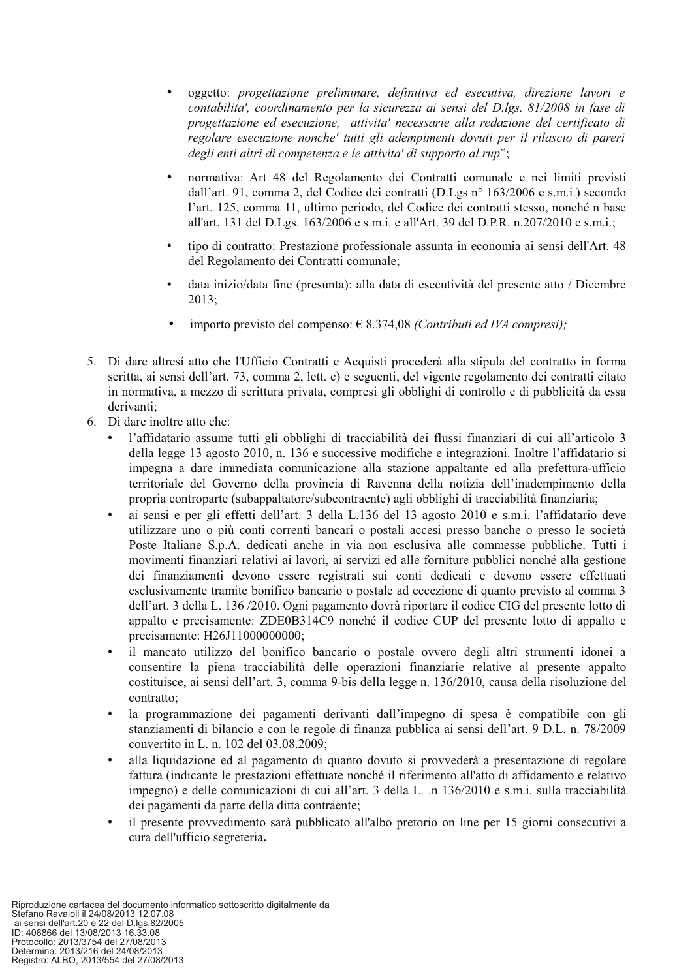- oggetto: progettazione preliminare, definitiva ed esecutiva, direzione lavori e contabilita', coordinamento per la sicurezza ai sensi del D.lgs. 81/2008 in fase di progettazione ed esecuzione, attivita' necessarie alla redazione del certificato di regolare esecuzione nonche' tutti gli adempimenti dovuti per il rilascio di pareri degli enti altri di competenza e le attivita' di supporto al rup":
- normativa: Art 48 del Regolamento dei Contratti comunale e nei limiti previsti dall'art. 91, comma 2, del Codice dei contratti (D.Lgs n° 163/2006 e s.m.i.) secondo l'art. 125, comma 11, ultimo periodo, del Codice dei contratti stesso, nonché n base all'art. 131 del D.Lgs. 163/2006 e s.m.i. e all'Art. 39 del D.P.R. n.207/2010 e s.m.i.;
- tipo di contratto: Prestazione professionale assunta in economia ai sensi dell'Art. 48 del Regolamento dei Contratti comunale:
- data inizio/data fine (presunta): alla data di esecutività del presente atto / Dicembre  $2013;$
- importo previsto del compenso:  $\in$  8.374,08 (Contributi ed IVA compresi);
- 5. Di dare altresí atto che l'Ufficio Contratti e Acquisti procederà alla stipula del contratto in forma scritta, ai sensi dell'art. 73, comma 2, lett. c) e seguenti, del vigente regolamento dei contratti citato in normativa, a mezzo di scrittura privata, compresi gli obblighi di controllo e di pubblicità da essa derivanti:
- 6. Di dare inoltre atto che:
	- l'affidatario assume tutti gli obblighi di tracciabilità dei flussi finanziari di cui all'articolo 3 della legge 13 agosto 2010, n. 136 e successive modifiche e integrazioni. Inoltre l'affidatario si impegna a dare immediata comunicazione alla stazione appaltante ed alla prefettura-ufficio territoriale del Governo della provincia di Ravenna della notizia dell'inadempimento della propria controparte (subappaltatore/subcontraente) agli obblighi di tracciabilità finanziaria;
	- ai sensi e per gli effetti dell'art. 3 della L.136 del 13 agosto 2010 e s.m.i. l'affidatario deve utilizzare uno o più conti correnti bancari o postali accesi presso banche o presso le società Poste Italiane S.p.A. dedicati anche in via non esclusiva alle commesse pubbliche. Tutti i movimenti finanziari relativi ai lavori, ai servizi ed alle forniture pubblici nonché alla gestione dei finanziamenti devono essere registrati sui conti dedicati e devono essere effettuati esclusivamente tramite bonifico bancario o postale ad eccezione di quanto previsto al comma 3 dell'art. 3 della L. 136/2010. Ogni pagamento dovrà riportare il codice CIG del presente lotto di appalto e precisamente: ZDE0B314C9 nonché il codice CUP del presente lotto di appalto e precisamente: H26J11000000000:
	- il mancato utilizzo del bonifico bancario o postale ovvero degli altri strumenti idonei a consentire la piena tracciabilità delle operazioni finanziarie relative al presente appalto costituisce, ai sensi dell'art. 3, comma 9-bis della legge n. 136/2010, causa della risoluzione del contratto:
	- la programmazione dei pagamenti derivanti dall'impegno di spesa è compatibile con gli stanziamenti di bilancio e con le regole di finanza pubblica ai sensi dell'art. 9 D.L. n. 78/2009 convertito in L. n. 102 del 03.08.2009;
	- alla liquidazione ed al pagamento di quanto dovuto si provvederà a presentazione di regolare fattura (indicante le prestazioni effettuate nonché il riferimento all'atto di affidamento e relativo impegno) e delle comunicazioni di cui all'art. 3 della L. n 136/2010 e s.m.i. sulla tracciabilità dei pagamenti da parte della ditta contraente;
	- il presente provvedimento sarà pubblicato all'albo pretorio on line per 15 giorni consecutivi a cura dell'ufficio segreteria.